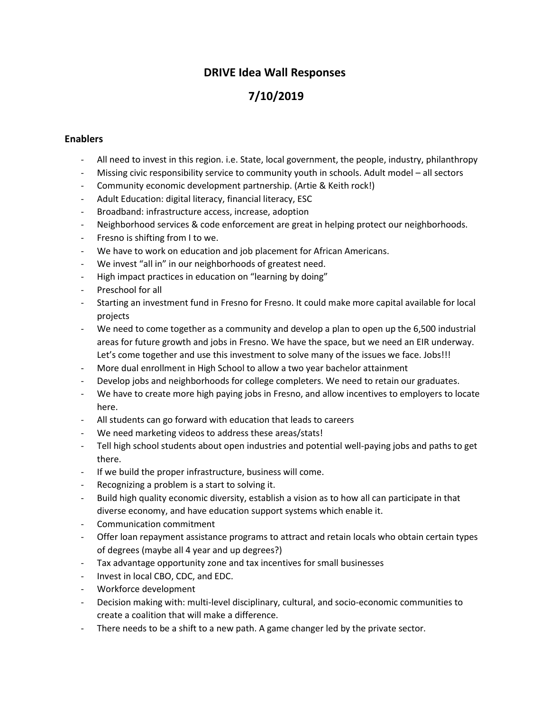## **DRIVE Idea Wall Responses**

# **7/10/2019**

#### **Enablers**

- All need to invest in this region. i.e. State, local government, the people, industry, philanthropy
- Missing civic responsibility service to community youth in schools. Adult model all sectors
- Community economic development partnership. (Artie & Keith rock!)
- Adult Education: digital literacy, financial literacy, ESC
- Broadband: infrastructure access, increase, adoption
- Neighborhood services & code enforcement are great in helping protect our neighborhoods.
- Fresno is shifting from I to we.
- We have to work on education and job placement for African Americans.
- We invest "all in" in our neighborhoods of greatest need.
- High impact practices in education on "learning by doing"
- Preschool for all
- Starting an investment fund in Fresno for Fresno. It could make more capital available for local projects
- We need to come together as a community and develop a plan to open up the 6,500 industrial areas for future growth and jobs in Fresno. We have the space, but we need an EIR underway. Let's come together and use this investment to solve many of the issues we face. Jobs!!!
- More dual enrollment in High School to allow a two year bachelor attainment
- Develop jobs and neighborhoods for college completers. We need to retain our graduates.
- We have to create more high paying jobs in Fresno, and allow incentives to employers to locate here.
- All students can go forward with education that leads to careers
- We need marketing videos to address these areas/stats!
- Tell high school students about open industries and potential well-paying jobs and paths to get there.
- If we build the proper infrastructure, business will come.
- Recognizing a problem is a start to solving it.
- Build high quality economic diversity, establish a vision as to how all can participate in that diverse economy, and have education support systems which enable it.
- Communication commitment
- Offer loan repayment assistance programs to attract and retain locals who obtain certain types of degrees (maybe all 4 year and up degrees?)
- Tax advantage opportunity zone and tax incentives for small businesses
- Invest in local CBO, CDC, and EDC.
- Workforce development
- Decision making with: multi-level disciplinary, cultural, and socio-economic communities to create a coalition that will make a difference.
- There needs to be a shift to a new path. A game changer led by the private sector.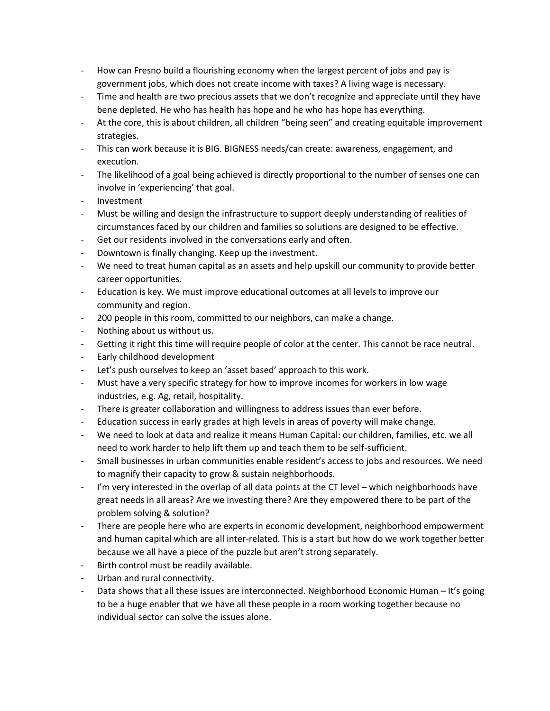- How can Fresno build a flourishing economy when the largest percent of jobs and pay is government jobs, which does not create income with taxes? A living wage is necessary.
- Time and health are two precious assets that we don't recognize and appreciate until they have bene depleted. He who has health has hope and he who has hope has everything.
- At the core, this is about children, all children "being seen" and creating equitable improvement strategies.
- This can work because it is BIG. BIGNESS needs/can create: awareness, engagement, and execution.
- The likelihood of a goal being achieved is directly proportional to the number of senses one can involve in 'experiencing' that goal.
- Investment
- Must be willing and design the infrastructure to support deeply understanding of realities of circumstances faced by our children and families so solutions are designed to be effective.
- Get our residents involved in the conversations early and often.
- Downtown is finally changing. Keep up the investment.
- We need to treat human capital as an assets and help upskill our community to provide better career opportunities.
- Education is key. We must improve educational outcomes at all levels to improve our community and region.
- 200 people in this room, committed to our neighbors, can make a change.
- Nothing about us without us.
- Getting it right this time will require people of color at the center. This cannot be race neutral.
- Early childhood development
- Let's push ourselves to keep an 'asset based' approach to this work.
- Must have a very specific strategy for how to improve incomes for workers in low wage industries, e.g. Ag, retail, hospitality.
- There is greater collaboration and willingness to address issues than ever before.
- Education success in early grades at high levels in areas of poverty will make change.
- We need to look at data and realize it means Human Capital: our children, families, etc. we all need to work harder to help lift them up and teach them to be self-sufficient.
- Small businesses in urban communities enable resident's access to jobs and resources. We need to magnify their capacity to grow & sustain neighborhoods.
- I'm very interested in the overlap of all data points at the CT level which neighborhoods have great needs in all areas? Are we investing there? Are they empowered there to be part of the problem solving & solution?
- There are people here who are experts in economic development, neighborhood empowerment and human capital which are all inter-related. This is a start but how do we work together better because we all have a piece of the puzzle but aren't strong separately.
- Birth control must be readily available.
- Urban and rural connectivity.
- Data shows that all these issues are interconnected. Neighborhood Economic Human It's going to be a huge enabler that we have all these people in a room working together because no individual sector can solve the issues alone.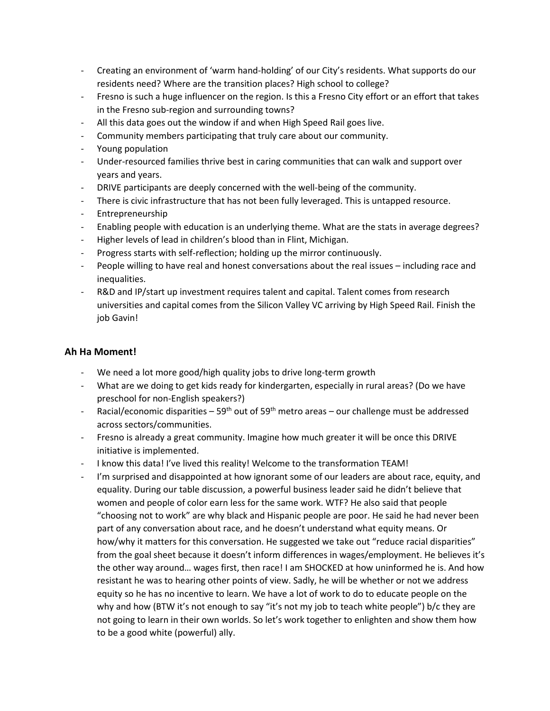- Creating an environment of 'warm hand-holding' of our City's residents. What supports do our residents need? Where are the transition places? High school to college?
- Fresno is such a huge influencer on the region. Is this a Fresno City effort or an effort that takes in the Fresno sub-region and surrounding towns?
- All this data goes out the window if and when High Speed Rail goes live.
- Community members participating that truly care about our community.
- Young population
- Under-resourced families thrive best in caring communities that can walk and support over years and years.
- DRIVE participants are deeply concerned with the well-being of the community.
- There is civic infrastructure that has not been fully leveraged. This is untapped resource.
- Entrepreneurship
- Enabling people with education is an underlying theme. What are the stats in average degrees?
- Higher levels of lead in children's blood than in Flint, Michigan.
- Progress starts with self-reflection; holding up the mirror continuously.
- People willing to have real and honest conversations about the real issues including race and inequalities.
- R&D and IP/start up investment requires talent and capital. Talent comes from research universities and capital comes from the Silicon Valley VC arriving by High Speed Rail. Finish the job Gavin!

### **Ah Ha Moment!**

- We need a lot more good/high quality jobs to drive long-term growth
- What are we doing to get kids ready for kindergarten, especially in rural areas? (Do we have preschool for non-English speakers?)
- Racial/economic disparities 59<sup>th</sup> out of 59<sup>th</sup> metro areas our challenge must be addressed across sectors/communities.
- Fresno is already a great community. Imagine how much greater it will be once this DRIVE initiative is implemented.
- I know this data! I've lived this reality! Welcome to the transformation TEAM!
- I'm surprised and disappointed at how ignorant some of our leaders are about race, equity, and equality. During our table discussion, a powerful business leader said he didn't believe that women and people of color earn less for the same work. WTF? He also said that people "choosing not to work" are why black and Hispanic people are poor. He said he had never been part of any conversation about race, and he doesn't understand what equity means. Or how/why it matters for this conversation. He suggested we take out "reduce racial disparities" from the goal sheet because it doesn't inform differences in wages/employment. He believes it's the other way around… wages first, then race! I am SHOCKED at how uninformed he is. And how resistant he was to hearing other points of view. Sadly, he will be whether or not we address equity so he has no incentive to learn. We have a lot of work to do to educate people on the why and how (BTW it's not enough to say "it's not my job to teach white people") b/c they are not going to learn in their own worlds. So let's work together to enlighten and show them how to be a good white (powerful) ally.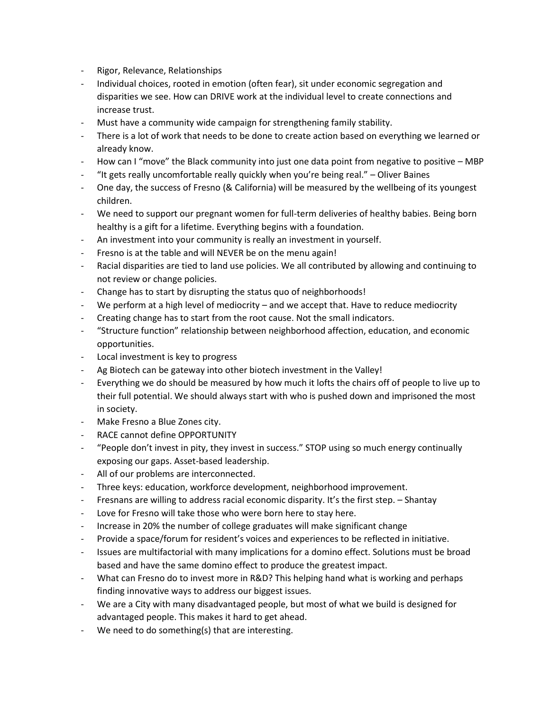- Rigor, Relevance, Relationships
- Individual choices, rooted in emotion (often fear), sit under economic segregation and disparities we see. How can DRIVE work at the individual level to create connections and increase trust.
- Must have a community wide campaign for strengthening family stability.
- There is a lot of work that needs to be done to create action based on everything we learned or already know.
- How can I "move" the Black community into just one data point from negative to positive MBP
- "It gets really uncomfortable really quickly when you're being real." Oliver Baines
- One day, the success of Fresno (& California) will be measured by the wellbeing of its youngest children.
- We need to support our pregnant women for full-term deliveries of healthy babies. Being born healthy is a gift for a lifetime. Everything begins with a foundation.
- An investment into your community is really an investment in yourself.
- Fresno is at the table and will NEVER be on the menu again!
- Racial disparities are tied to land use policies. We all contributed by allowing and continuing to not review or change policies.
- Change has to start by disrupting the status quo of neighborhoods!
- We perform at a high level of mediocrity and we accept that. Have to reduce mediocrity
- Creating change has to start from the root cause. Not the small indicators.
- "Structure function" relationship between neighborhood affection, education, and economic opportunities.
- Local investment is key to progress
- Ag Biotech can be gateway into other biotech investment in the Valley!
- Everything we do should be measured by how much it lofts the chairs off of people to live up to their full potential. We should always start with who is pushed down and imprisoned the most in society.
- Make Fresno a Blue Zones city.
- RACE cannot define OPPORTUNITY
- "People don't invest in pity, they invest in success." STOP using so much energy continually exposing our gaps. Asset-based leadership.
- All of our problems are interconnected.
- Three keys: education, workforce development, neighborhood improvement.
- Fresnans are willing to address racial economic disparity. It's the first step. Shantay
- Love for Fresno will take those who were born here to stay here.
- Increase in 20% the number of college graduates will make significant change
- Provide a space/forum for resident's voices and experiences to be reflected in initiative.
- Issues are multifactorial with many implications for a domino effect. Solutions must be broad based and have the same domino effect to produce the greatest impact.
- What can Fresno do to invest more in R&D? This helping hand what is working and perhaps finding innovative ways to address our biggest issues.
- We are a City with many disadvantaged people, but most of what we build is designed for advantaged people. This makes it hard to get ahead.
- We need to do something(s) that are interesting.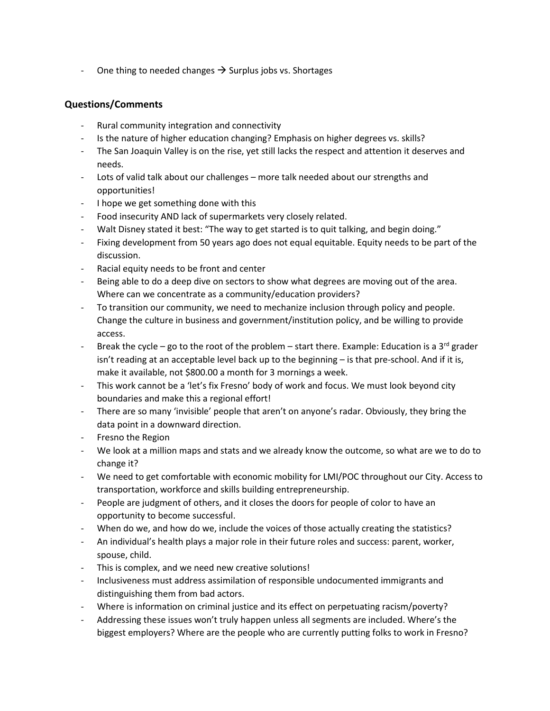- One thing to needed changes  $\rightarrow$  Surplus jobs vs. Shortages

### **Questions/Comments**

- Rural community integration and connectivity
- Is the nature of higher education changing? Emphasis on higher degrees vs. skills?
- The San Joaquin Valley is on the rise, yet still lacks the respect and attention it deserves and needs.
- Lots of valid talk about our challenges more talk needed about our strengths and opportunities!
- I hope we get something done with this
- Food insecurity AND lack of supermarkets very closely related.
- Walt Disney stated it best: "The way to get started is to quit talking, and begin doing."
- Fixing development from 50 years ago does not equal equitable. Equity needs to be part of the discussion.
- Racial equity needs to be front and center
- Being able to do a deep dive on sectors to show what degrees are moving out of the area. Where can we concentrate as a community/education providers?
- To transition our community, we need to mechanize inclusion through policy and people. Change the culture in business and government/institution policy, and be willing to provide access.
- Break the cycle go to the root of the problem start there. Example: Education is a 3<sup>rd</sup> grader isn't reading at an acceptable level back up to the beginning – is that pre-school. And if it is, make it available, not \$800.00 a month for 3 mornings a week.
- This work cannot be a 'let's fix Fresno' body of work and focus. We must look beyond city boundaries and make this a regional effort!
- There are so many 'invisible' people that aren't on anyone's radar. Obviously, they bring the data point in a downward direction.
- Fresno the Region
- We look at a million maps and stats and we already know the outcome, so what are we to do to change it?
- We need to get comfortable with economic mobility for LMI/POC throughout our City. Access to transportation, workforce and skills building entrepreneurship.
- People are judgment of others, and it closes the doors for people of color to have an opportunity to become successful.
- When do we, and how do we, include the voices of those actually creating the statistics?
- An individual's health plays a major role in their future roles and success: parent, worker, spouse, child.
- This is complex, and we need new creative solutions!
- Inclusiveness must address assimilation of responsible undocumented immigrants and distinguishing them from bad actors.
- Where is information on criminal justice and its effect on perpetuating racism/poverty?
- Addressing these issues won't truly happen unless all segments are included. Where's the biggest employers? Where are the people who are currently putting folks to work in Fresno?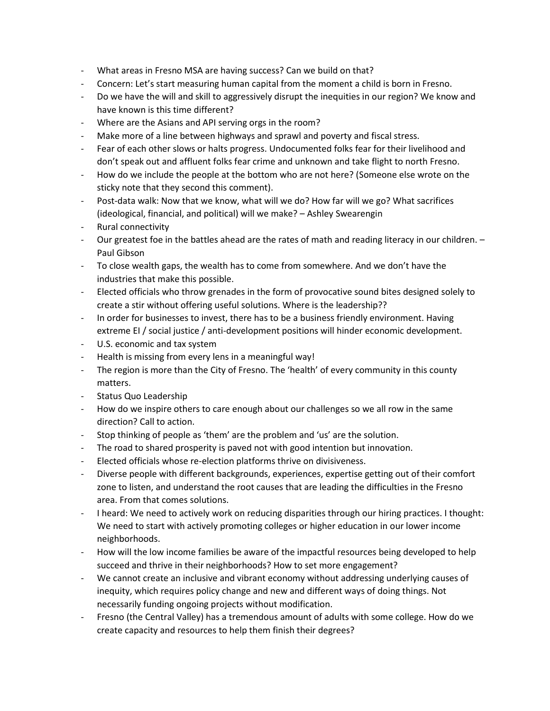- What areas in Fresno MSA are having success? Can we build on that?
- Concern: Let's start measuring human capital from the moment a child is born in Fresno.
- Do we have the will and skill to aggressively disrupt the inequities in our region? We know and have known is this time different?
- Where are the Asians and API serving orgs in the room?
- Make more of a line between highways and sprawl and poverty and fiscal stress.
- Fear of each other slows or halts progress. Undocumented folks fear for their livelihood and don't speak out and affluent folks fear crime and unknown and take flight to north Fresno.
- How do we include the people at the bottom who are not here? (Someone else wrote on the sticky note that they second this comment).
- Post-data walk: Now that we know, what will we do? How far will we go? What sacrifices (ideological, financial, and political) will we make? – Ashley Swearengin
- Rural connectivity
- Our greatest foe in the battles ahead are the rates of math and reading literacy in our children. Paul Gibson
- To close wealth gaps, the wealth has to come from somewhere. And we don't have the industries that make this possible.
- Elected officials who throw grenades in the form of provocative sound bites designed solely to create a stir without offering useful solutions. Where is the leadership??
- In order for businesses to invest, there has to be a business friendly environment. Having extreme EI / social justice / anti-development positions will hinder economic development.
- U.S. economic and tax system
- Health is missing from every lens in a meaningful way!
- The region is more than the City of Fresno. The 'health' of every community in this county matters.
- Status Quo Leadership
- How do we inspire others to care enough about our challenges so we all row in the same direction? Call to action.
- Stop thinking of people as 'them' are the problem and 'us' are the solution.
- The road to shared prosperity is paved not with good intention but innovation.
- Elected officials whose re-election platforms thrive on divisiveness.
- Diverse people with different backgrounds, experiences, expertise getting out of their comfort zone to listen, and understand the root causes that are leading the difficulties in the Fresno area. From that comes solutions.
- I heard: We need to actively work on reducing disparities through our hiring practices. I thought: We need to start with actively promoting colleges or higher education in our lower income neighborhoods.
- How will the low income families be aware of the impactful resources being developed to help succeed and thrive in their neighborhoods? How to set more engagement?
- We cannot create an inclusive and vibrant economy without addressing underlying causes of inequity, which requires policy change and new and different ways of doing things. Not necessarily funding ongoing projects without modification.
- Fresno (the Central Valley) has a tremendous amount of adults with some college. How do we create capacity and resources to help them finish their degrees?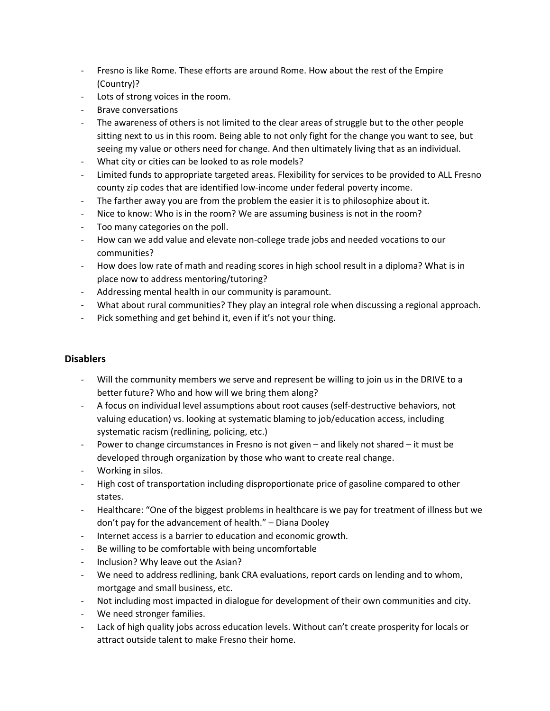- Fresno is like Rome. These efforts are around Rome. How about the rest of the Empire (Country)?
- Lots of strong voices in the room.
- Brave conversations
- The awareness of others is not limited to the clear areas of struggle but to the other people sitting next to us in this room. Being able to not only fight for the change you want to see, but seeing my value or others need for change. And then ultimately living that as an individual.
- What city or cities can be looked to as role models?
- Limited funds to appropriate targeted areas. Flexibility for services to be provided to ALL Fresno county zip codes that are identified low-income under federal poverty income.
- The farther away you are from the problem the easier it is to philosophize about it.
- Nice to know: Who is in the room? We are assuming business is not in the room?
- Too many categories on the poll.
- How can we add value and elevate non-college trade jobs and needed vocations to our communities?
- How does low rate of math and reading scores in high school result in a diploma? What is in place now to address mentoring/tutoring?
- Addressing mental health in our community is paramount.
- What about rural communities? They play an integral role when discussing a regional approach.
- Pick something and get behind it, even if it's not your thing.

### **Disablers**

- Will the community members we serve and represent be willing to join us in the DRIVE to a better future? Who and how will we bring them along?
- A focus on individual level assumptions about root causes (self-destructive behaviors, not valuing education) vs. looking at systematic blaming to job/education access, including systematic racism (redlining, policing, etc.)
- Power to change circumstances in Fresno is not given and likely not shared it must be developed through organization by those who want to create real change.
- Working in silos.
- High cost of transportation including disproportionate price of gasoline compared to other states.
- Healthcare: "One of the biggest problems in healthcare is we pay for treatment of illness but we don't pay for the advancement of health." – Diana Dooley
- Internet access is a barrier to education and economic growth.
- Be willing to be comfortable with being uncomfortable
- Inclusion? Why leave out the Asian?
- We need to address redlining, bank CRA evaluations, report cards on lending and to whom, mortgage and small business, etc.
- Not including most impacted in dialogue for development of their own communities and city.
- We need stronger families.
- Lack of high quality jobs across education levels. Without can't create prosperity for locals or attract outside talent to make Fresno their home.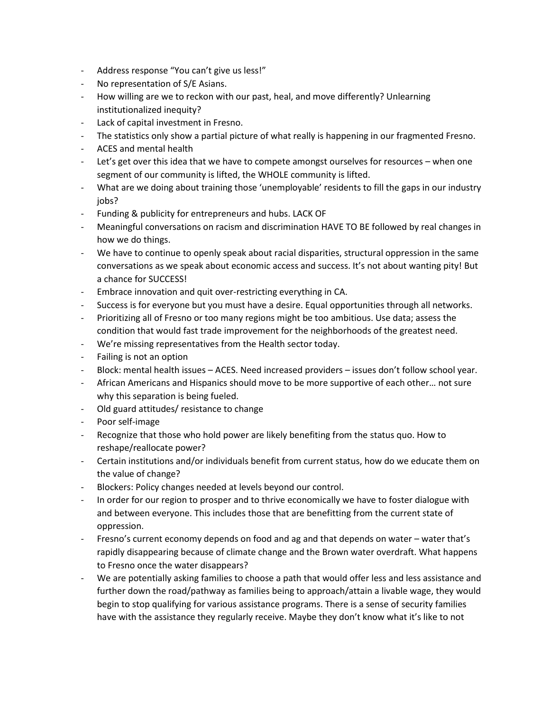- Address response "You can't give us less!"
- No representation of S/E Asians.
- How willing are we to reckon with our past, heal, and move differently? Unlearning institutionalized inequity?
- Lack of capital investment in Fresno.
- The statistics only show a partial picture of what really is happening in our fragmented Fresno.
- ACES and mental health
- Let's get over this idea that we have to compete amongst ourselves for resources when one segment of our community is lifted, the WHOLE community is lifted.
- What are we doing about training those 'unemployable' residents to fill the gaps in our industry jobs?
- Funding & publicity for entrepreneurs and hubs. LACK OF
- Meaningful conversations on racism and discrimination HAVE TO BE followed by real changes in how we do things.
- We have to continue to openly speak about racial disparities, structural oppression in the same conversations as we speak about economic access and success. It's not about wanting pity! But a chance for SUCCESS!
- Embrace innovation and quit over-restricting everything in CA.
- Success is for everyone but you must have a desire. Equal opportunities through all networks.
- Prioritizing all of Fresno or too many regions might be too ambitious. Use data; assess the condition that would fast trade improvement for the neighborhoods of the greatest need.
- We're missing representatives from the Health sector today.
- Failing is not an option
- Block: mental health issues ACES. Need increased providers issues don't follow school year.
- African Americans and Hispanics should move to be more supportive of each other… not sure why this separation is being fueled.
- Old guard attitudes/ resistance to change
- Poor self-image
- Recognize that those who hold power are likely benefiting from the status quo. How to reshape/reallocate power?
- Certain institutions and/or individuals benefit from current status, how do we educate them on the value of change?
- Blockers: Policy changes needed at levels beyond our control.
- In order for our region to prosper and to thrive economically we have to foster dialogue with and between everyone. This includes those that are benefitting from the current state of oppression.
- Fresno's current economy depends on food and ag and that depends on water water that's rapidly disappearing because of climate change and the Brown water overdraft. What happens to Fresno once the water disappears?
- We are potentially asking families to choose a path that would offer less and less assistance and further down the road/pathway as families being to approach/attain a livable wage, they would begin to stop qualifying for various assistance programs. There is a sense of security families have with the assistance they regularly receive. Maybe they don't know what it's like to not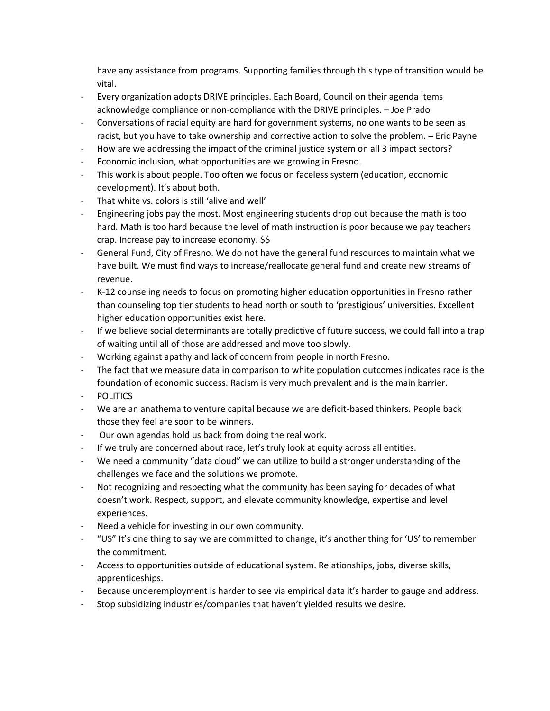have any assistance from programs. Supporting families through this type of transition would be vital.

- Every organization adopts DRIVE principles. Each Board, Council on their agenda items acknowledge compliance or non-compliance with the DRIVE principles. – Joe Prado
- Conversations of racial equity are hard for government systems, no one wants to be seen as racist, but you have to take ownership and corrective action to solve the problem. – Eric Payne
- How are we addressing the impact of the criminal justice system on all 3 impact sectors?
- Economic inclusion, what opportunities are we growing in Fresno.
- This work is about people. Too often we focus on faceless system (education, economic development). It's about both.
- That white vs. colors is still 'alive and well'
- Engineering jobs pay the most. Most engineering students drop out because the math is too hard. Math is too hard because the level of math instruction is poor because we pay teachers crap. Increase pay to increase economy. \$\$
- General Fund, City of Fresno. We do not have the general fund resources to maintain what we have built. We must find ways to increase/reallocate general fund and create new streams of revenue.
- K-12 counseling needs to focus on promoting higher education opportunities in Fresno rather than counseling top tier students to head north or south to 'prestigious' universities. Excellent higher education opportunities exist here.
- If we believe social determinants are totally predictive of future success, we could fall into a trap of waiting until all of those are addressed and move too slowly.
- Working against apathy and lack of concern from people in north Fresno.
- The fact that we measure data in comparison to white population outcomes indicates race is the foundation of economic success. Racism is very much prevalent and is the main barrier.
- **POLITICS**
- We are an anathema to venture capital because we are deficit-based thinkers. People back those they feel are soon to be winners.
- Our own agendas hold us back from doing the real work.
- If we truly are concerned about race, let's truly look at equity across all entities.
- We need a community "data cloud" we can utilize to build a stronger understanding of the challenges we face and the solutions we promote.
- Not recognizing and respecting what the community has been saying for decades of what doesn't work. Respect, support, and elevate community knowledge, expertise and level experiences.
- Need a vehicle for investing in our own community.
- "US" It's one thing to say we are committed to change, it's another thing for 'US' to remember the commitment.
- Access to opportunities outside of educational system. Relationships, jobs, diverse skills, apprenticeships.
- Because underemployment is harder to see via empirical data it's harder to gauge and address.
- Stop subsidizing industries/companies that haven't yielded results we desire.